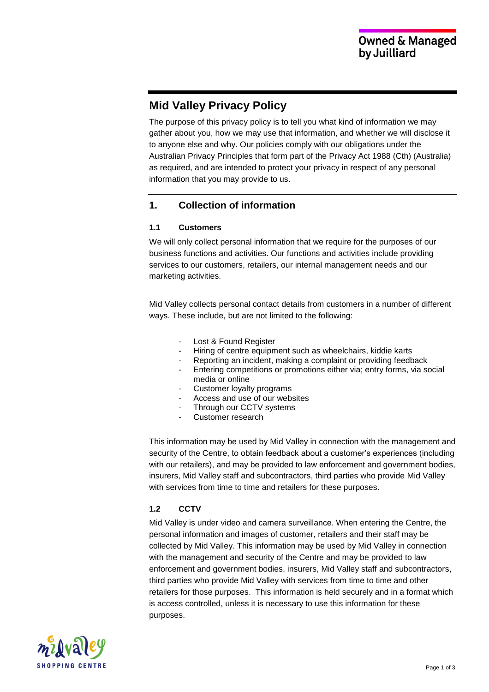# **Mid Valley Privacy Policy**

The purpose of this privacy policy is to tell you what kind of information we may gather about you, how we may use that information, and whether we will disclose it to anyone else and why. Our policies comply with our obligations under the Australian Privacy Principles that form part of the Privacy Act 1988 (Cth) (Australia) as required, and are intended to protect your privacy in respect of any personal information that you may provide to us.

# **1. Collection of information**

#### **1.1 Customers**

We will only collect personal information that we require for the purposes of our business functions and activities. Our functions and activities include providing services to our customers, retailers, our internal management needs and our marketing activities.

Mid Valley collects personal contact details from customers in a number of different ways. These include, but are not limited to the following:

- Lost & Found Register
- Hiring of centre equipment such as wheelchairs, kiddie karts
- Reporting an incident, making a complaint or providing feedback
- Entering competitions or promotions either via; entry forms, via social media or online
- Customer loyalty programs
- Access and use of our websites
- Through our CCTV systems
- Customer research

This information may be used by Mid Valley in connection with the management and security of the Centre, to obtain feedback about a customer's experiences (including with our retailers), and may be provided to law enforcement and government bodies, insurers, Mid Valley staff and subcontractors, third parties who provide Mid Valley with services from time to time and retailers for these purposes.

## **1.2 CCTV**

Mid Valley is under video and camera surveillance. When entering the Centre, the personal information and images of customer, retailers and their staff may be collected by Mid Valley. This information may be used by Mid Valley in connection with the management and security of the Centre and may be provided to law enforcement and government bodies, insurers, Mid Valley staff and subcontractors, third parties who provide Mid Valley with services from time to time and other retailers for those purposes. This information is held securely and in a format which is access controlled, unless it is necessary to use this information for these purposes.

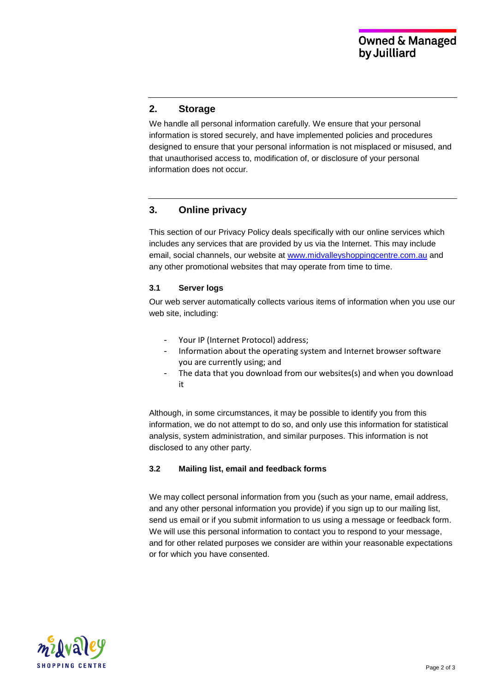# **2. Storage**

We handle all personal information carefully. We ensure that your personal information is stored securely, and have implemented policies and procedures designed to ensure that your personal information is not misplaced or misused, and that unauthorised access to, modification of, or disclosure of your personal information does not occur.

# **3. Online privacy**

This section of our Privacy Policy deals specifically with our online services which includes any services that are provided by us via the Internet. This may include email, social channels, our website at [www.midvalleyshoppingcentre.com.au](http://www.midvalleyshoppingcentre.com.au/) and any other promotional websites that may operate from time to time.

#### **3.1 Server logs**

Our web server automatically collects various items of information when you use our web site, including:

- Your IP (Internet Protocol) address;
- Information about the operating system and Internet browser software you are currently using; and
- The data that you download from our websites(s) and when you download it

Although, in some circumstances, it may be possible to identify you from this information, we do not attempt to do so, and only use this information for statistical analysis, system administration, and similar purposes. This information is not disclosed to any other party.

#### **3.2 Mailing list, email and feedback forms**

We may collect personal information from you (such as your name, email address, and any other personal information you provide) if you sign up to our mailing list, send us email or if you submit information to us using a message or feedback form. We will use this personal information to contact you to respond to your message, and for other related purposes we consider are within your reasonable expectations or for which you have consented.